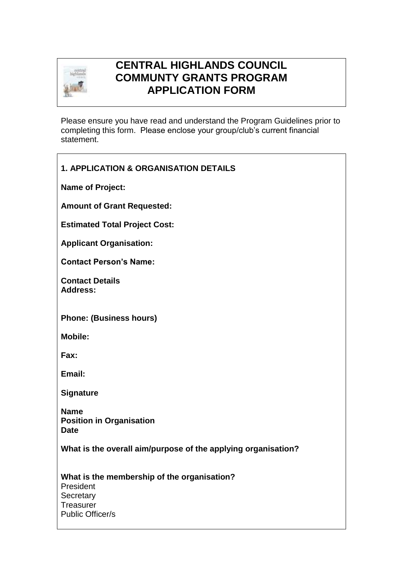

## **CENTRAL HIGHLANDS COUNCIL COMMUNTY GRANTS PROGRAM APPLICATION FORM**

Please ensure you have read and understand the Program Guidelines prior to completing this form. Please enclose your group/club's current financial statement.

## **1. APPLICATION & ORGANISATION DETAILS**

**Name of Project:**

**Amount of Grant Requested:**

**Estimated Total Project Cost:**

**Applicant Organisation:**

**Contact Person's Name:**

**Contact Details Address:**

**Phone: (Business hours)**

**Mobile:**

**Fax:**

**Email:**

**Signature**

**Name Position in Organisation Date**

**What is the overall aim/purpose of the applying organisation?**

**What is the membership of the organisation?** President **Secretary Treasurer** Public Officer/s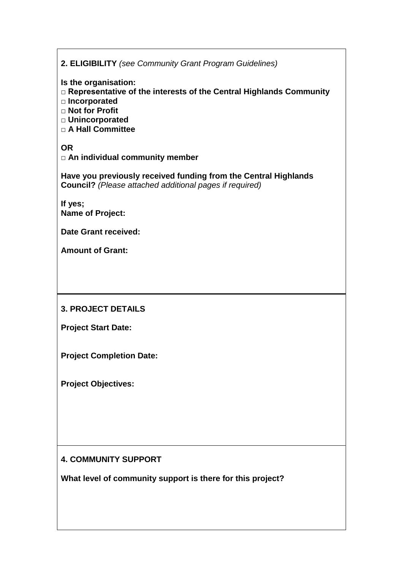| 2. ELIGIBILITY (see Community Grant Program Guidelines)                                                                                                                           |  |  |  |  |  |  |
|-----------------------------------------------------------------------------------------------------------------------------------------------------------------------------------|--|--|--|--|--|--|
| Is the organisation:<br>□ Representative of the interests of the Central Highlands Community<br>□ Incorporated<br>$\Box$ Not for Profit<br>□ Unincorporated<br>□ A Hall Committee |  |  |  |  |  |  |
| <b>OR</b><br>□ An individual community member                                                                                                                                     |  |  |  |  |  |  |
| Have you previously received funding from the Central Highlands<br><b>Council?</b> (Please attached additional pages if required)                                                 |  |  |  |  |  |  |
| If yes;<br><b>Name of Project:</b>                                                                                                                                                |  |  |  |  |  |  |
| <b>Date Grant received:</b>                                                                                                                                                       |  |  |  |  |  |  |
| <b>Amount of Grant:</b>                                                                                                                                                           |  |  |  |  |  |  |
|                                                                                                                                                                                   |  |  |  |  |  |  |
| <b>3. PROJECT DETAILS</b>                                                                                                                                                         |  |  |  |  |  |  |
| <b>Project Start Date:</b>                                                                                                                                                        |  |  |  |  |  |  |
| <b>Project Completion Date:</b>                                                                                                                                                   |  |  |  |  |  |  |
| <b>Project Objectives:</b>                                                                                                                                                        |  |  |  |  |  |  |
|                                                                                                                                                                                   |  |  |  |  |  |  |
|                                                                                                                                                                                   |  |  |  |  |  |  |
|                                                                                                                                                                                   |  |  |  |  |  |  |
| <b>4. COMMUNITY SUPPORT</b>                                                                                                                                                       |  |  |  |  |  |  |
| What level of community support is there for this project?                                                                                                                        |  |  |  |  |  |  |
|                                                                                                                                                                                   |  |  |  |  |  |  |

 $\overline{1}$ 

ı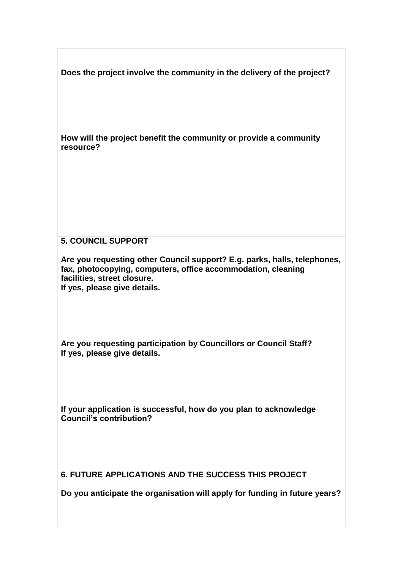**Does the project involve the community in the delivery of the project?**

**How will the project benefit the community or provide a community resource?**

## **5. COUNCIL SUPPORT**

**Are you requesting other Council support? E.g. parks, halls, telephones, fax, photocopying, computers, office accommodation, cleaning facilities, street closure. If yes, please give details.** 

**Are you requesting participation by Councillors or Council Staff? If yes, please give details.** 

**If your application is successful, how do you plan to acknowledge Council's contribution?**

**6. FUTURE APPLICATIONS AND THE SUCCESS THIS PROJECT**

**Do you anticipate the organisation will apply for funding in future years?**